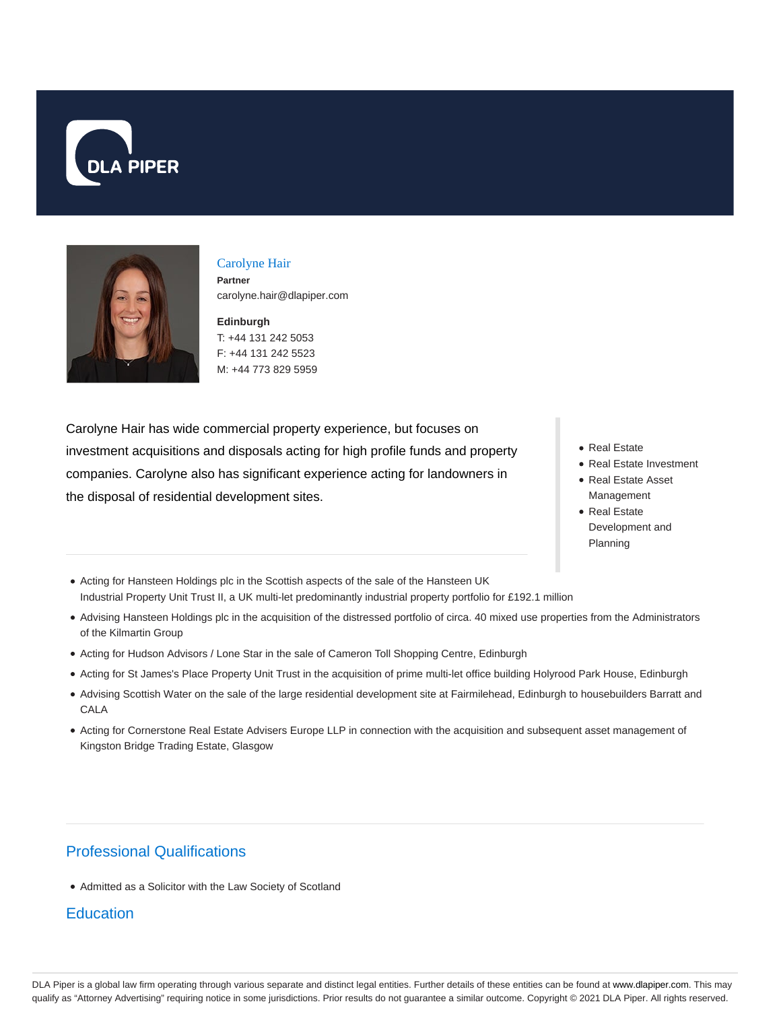



## Carolyne Hair **Partner** carolyne.hair@dlapiper.com

**Edinburgh** T: +44 131 242 5053 F: +44 131 242 5523 M: +44 773 829 5959

Carolyne Hair has wide commercial property experience, but focuses on investment acquisitions and disposals acting for high profile funds and property companies. Carolyne also has significant experience acting for landowners in the disposal of residential development sites.

- Real Estate
- Real Estate Investment
- Real Estate Asset Management
- Real Estate Development and Planning
- Acting for Hansteen Holdings plc in the Scottish aspects of the sale of the Hansteen UK Industrial Property Unit Trust II, a UK multi-let predominantly industrial property portfolio for £192.1 million
- Advising Hansteen Holdings plc in the acquisition of the distressed portfolio of circa. 40 mixed use properties from the Administrators of the Kilmartin Group
- Acting for Hudson Advisors / Lone Star in the sale of Cameron Toll Shopping Centre, Edinburgh
- Acting for St James's Place Property Unit Trust in the acquisition of prime multi-let office building Holyrood Park House, Edinburgh
- Advising Scottish Water on the sale of the large residential development site at Fairmilehead, Edinburgh to housebuilders Barratt and CALA
- Acting for Cornerstone Real Estate Advisers Europe LLP in connection with the acquisition and subsequent asset management of Kingston Bridge Trading Estate, Glasgow

## Professional Qualifications

Admitted as a Solicitor with the Law Society of Scotland

## **Education**

DLA Piper is a global law firm operating through various separate and distinct legal entities. Further details of these entities can be found at www.dlapiper.com. This may qualify as "Attorney Advertising" requiring notice in some jurisdictions. Prior results do not guarantee a similar outcome. Copyright @ 2021 DLA Piper. All rights reserved.